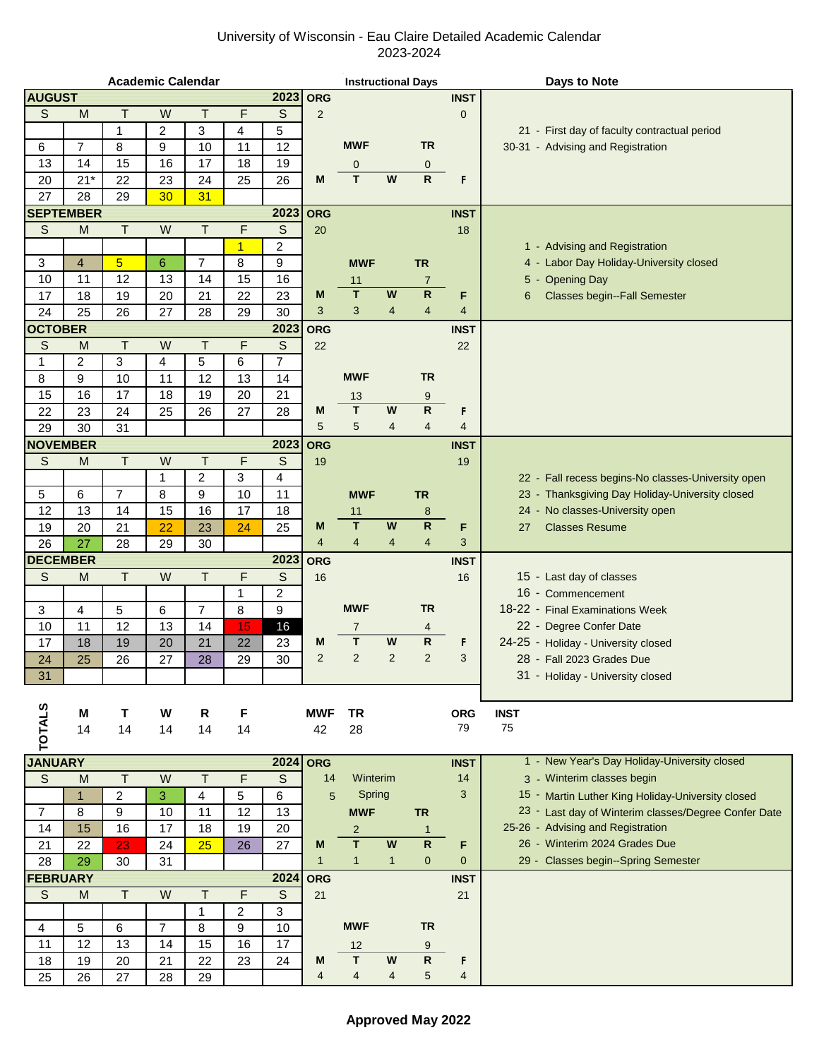## University of Wisconsin - Eau Claire Detailed Academic Calendar 2023-2024

| <b>Academic Calendar</b> |                                                                                                            |                |                |                |                | <b>Instructional Days</b> |                |                         |                |                         | <b>Days to Note</b> |                                                      |
|--------------------------|------------------------------------------------------------------------------------------------------------|----------------|----------------|----------------|----------------|---------------------------|----------------|-------------------------|----------------|-------------------------|---------------------|------------------------------------------------------|
| <b>AUGUST</b>            |                                                                                                            |                |                |                |                | 2023                      | <b>ORG</b>     |                         |                |                         | <b>INST</b>         |                                                      |
| S                        | M                                                                                                          | $\mathsf{T}$   | W              | $\top$         | F              | S                         | $\overline{2}$ |                         |                |                         | $\mathbf{0}$        |                                                      |
|                          |                                                                                                            | $\mathbf{1}$   | 2              | 3              | $\overline{4}$ | 5                         |                |                         |                |                         |                     | 21 - First day of faculty contractual period         |
| 6                        | $\overline{7}$                                                                                             | 8              | 9              | 10             | 11             | 12                        |                | <b>MWF</b>              |                | <b>TR</b>               |                     | 30-31 - Advising and Registration                    |
| 13                       | 14                                                                                                         | 15             | 16             | 17             | 18             | 19                        |                | 0                       |                | $\mathbf 0$             |                     |                                                      |
| 20                       | $21*$                                                                                                      | 22             | 23             | 24             | 25             | 26                        | M              | T                       | W              | $\mathsf R$             | F                   |                                                      |
| 27                       | 28                                                                                                         | 29             | 30             | 31             |                |                           |                |                         |                |                         |                     |                                                      |
|                          | <b>SEPTEMBER</b>                                                                                           |                |                |                |                | 2023                      | <b>ORG</b>     |                         |                |                         | <b>INST</b>         |                                                      |
| $\mathbb S$              | M                                                                                                          | $\top$         | W              | Τ              | F              | $\mathsf{S}$              | 20             |                         |                |                         | 18                  |                                                      |
|                          |                                                                                                            |                |                |                | $\overline{1}$ | 2                         |                |                         |                |                         |                     | 1 - Advising and Registration                        |
|                          |                                                                                                            |                |                |                |                |                           |                |                         |                |                         |                     |                                                      |
| 3                        | $\overline{4}$                                                                                             | 5              | 6              | $\overline{7}$ | 8              | 9                         |                | <b>MWF</b>              |                | <b>TR</b>               |                     | Labor Day Holiday-University closed<br>4 -           |
| 10                       | 11                                                                                                         | 12             | 13             | 14             | 15             | 16                        |                | 11                      |                | $\overline{7}$          |                     | <b>Opening Day</b><br>5 -                            |
| 17                       | 18                                                                                                         | 19             | 20             | 21             | 22             | 23                        | M              | T                       | W              | $\mathsf{R}$            | F                   | <b>Classes begin--Fall Semester</b><br>6             |
| 24                       | 25                                                                                                         | 26             | 27             | 28             | 29             | 30                        | 3              | 3                       | 4              | $\overline{4}$          | 4                   |                                                      |
| <b>OCTOBER</b>           |                                                                                                            |                |                |                |                | 2023                      | <b>ORG</b>     |                         |                |                         | <b>INST</b>         |                                                      |
| S                        | M                                                                                                          | T              | W              | T              | $\mathsf{F}$   | $\mathsf S$               | 22             |                         |                |                         | 22                  |                                                      |
| 1                        | $\overline{c}$                                                                                             | 3              | 4              | 5              | 6              | $\overline{7}$            |                |                         |                |                         |                     |                                                      |
| 8                        | 9                                                                                                          | 10             | 11             | 12             | 13             | 14                        |                | <b>MWF</b>              |                | <b>TR</b>               |                     |                                                      |
| 15                       | 16                                                                                                         | 17             | 18             | 19             | 20             | 21                        |                | 13                      |                | 9                       |                     |                                                      |
| 22                       | 23                                                                                                         | 24             | 25             | 26             | 27             | 28                        | M              | $\mathsf T$             | W              | $\mathsf{R}$            | F                   |                                                      |
| 29                       | 30                                                                                                         | 31             |                |                |                |                           | 5              | 5                       | 4              | $\overline{4}$          | 4                   |                                                      |
| <b>NOVEMBER</b>          |                                                                                                            |                |                |                |                | 2023                      | <b>ORG</b>     |                         |                |                         | <b>INST</b>         |                                                      |
| S                        | $\mathsf{M}% _{T}=\mathsf{M}_{T}\!\left( a,b\right) ,\ \mathsf{M}_{T}=\mathsf{M}_{T}\!\left( a,b\right) ,$ | $\top$         | W              | $\mathsf{T}$   | F              | S                         | 19             |                         |                |                         | 19                  |                                                      |
|                          |                                                                                                            |                | 1              | 2              | 3              | 4                         |                |                         |                |                         |                     | 22 - Fall recess begins-No classes-University open   |
| 5                        | 6                                                                                                          | $\overline{7}$ | 8              | 9              | 10             | 11                        |                |                         |                |                         |                     | 23 - Thanksgiving Day Holiday-University closed      |
|                          |                                                                                                            |                |                |                |                |                           |                | <b>MWF</b>              |                | <b>TR</b>               |                     |                                                      |
| 12                       | 13                                                                                                         | 14             | 15             | 16             | 17             | 18                        |                | 11                      |                | 8                       |                     | 24 - No classes-University open                      |
| 19                       | 20                                                                                                         | 21             | 22             | 23             | 24             | 25                        | M              | $\mathsf T$             | W              | $\overline{\mathbf{R}}$ | F                   | <b>Classes Resume</b><br>27                          |
| 26                       | 27                                                                                                         | 28             | 29             | 30             |                |                           | $\overline{4}$ | $\overline{4}$          | 4              | 4                       | 3                   |                                                      |
| <b>DECEMBER</b>          |                                                                                                            |                |                |                |                | 2023                      | <b>ORG</b>     |                         |                |                         | <b>INST</b>         |                                                      |
| $\mathbb S$              | M                                                                                                          | T              | W              | $\sf T$        | F              | $\mathsf S$               | 16             |                         |                |                         | 16                  | 15 - Last day of classes                             |
|                          |                                                                                                            |                |                |                | $\mathbf 1$    | 2                         |                |                         |                |                         |                     | 16 - Commencement                                    |
| 3                        | 4                                                                                                          | 5              | 6              | $\overline{7}$ | 8              | 9                         |                | <b>MWF</b>              |                | <b>TR</b>               |                     | 18-22 - Final Examinations Week                      |
| 10                       | 11                                                                                                         | 12             | 13             | 14             | 15             | 16                        |                | 7                       |                | 4                       |                     | 22 - Degree Confer Date                              |
| 17                       | 18                                                                                                         | 19             | 20             | 21             | 22             | 23                        | M              | T                       | W              | R                       | F                   | 24-25 - Holiday - University closed                  |
| 24                       | 25                                                                                                         | 26             | 27             | 28             | 29             | 30                        | $\overline{2}$ | $\overline{c}$          | $\overline{2}$ | $\overline{2}$          | 3                   | 28 - Fall 2023 Grades Due                            |
| 31                       |                                                                                                            |                |                |                |                |                           |                |                         |                |                         |                     | 31 - Holiday - University closed                     |
|                          |                                                                                                            |                |                |                |                |                           |                |                         |                |                         |                     |                                                      |
|                          | М                                                                                                          | Τ              | W              | R              |                |                           | <b>MWF</b>     | <b>TR</b>               |                |                         | <b>ORG</b>          | <b>INST</b>                                          |
|                          |                                                                                                            |                |                |                | F              |                           |                |                         |                |                         | 79                  | 75                                                   |
| <b>TOTALS</b>            | 14                                                                                                         | 14             | 14             | 14             | 14             |                           | 42             | 28                      |                |                         |                     |                                                      |
|                          |                                                                                                            |                |                |                |                |                           |                |                         |                |                         |                     |                                                      |
| <b>JANUARY</b>           |                                                                                                            |                |                |                |                | 2024                      | <b>ORG</b>     |                         |                |                         | <b>INST</b>         | 1 - New Year's Day Holiday-University closed         |
| $\mathsf S$              | M                                                                                                          | $\top$         | W              | $\mathsf T$    | F              | S                         | 14             | Winterim                |                |                         | 14                  | 3 - Winterim classes begin                           |
|                          | $\overline{1}$                                                                                             | $\overline{c}$ | 3              | 4              | 5              | 6                         | 5              | Spring                  |                |                         | 3                   | 15 - Martin Luther King Holiday-University closed    |
| $\overline{7}$           | 8                                                                                                          | 9              | 10             | 11             | 12             | 13                        |                | <b>MWF</b>              |                | <b>TR</b>               |                     | 23 - Last day of Winterim classes/Degree Confer Date |
| 14                       | 15                                                                                                         | 16             | 17             | 18             | 19             | 20                        |                | $\overline{2}$          |                | $\mathbf{1}$            |                     | 25-26 - Advising and Registration                    |
| 21                       | 22                                                                                                         | 23             | 24             | 25             | 26             | 27                        | M              | T                       | W              | $\mathsf{R}$            | F                   | 26 - Winterim 2024 Grades Due                        |
| 28                       | 29                                                                                                         | 30             | 31             |                |                |                           | $\mathbf{1}$   | $\mathbf{1}$            | $\mathbf{1}$   | $\mathbf{0}$            | $\mathbf{0}$        | 29 - Classes begin--Spring Semester                  |
| <b>FEBRUARY</b>          |                                                                                                            |                |                |                |                | 2024                      | <b>ORG</b>     |                         |                |                         | <b>INST</b>         |                                                      |
| $\mathbb S$              | M                                                                                                          | T.             | ${\sf W}$      | Τ              | F              | $\mathsf S$               | 21             |                         |                |                         | 21                  |                                                      |
|                          |                                                                                                            |                |                | $\mathbf{1}$   | $\overline{c}$ | 3                         |                |                         |                |                         |                     |                                                      |
| 4                        | 5                                                                                                          | 6              | $\overline{7}$ | 8              | 9              | 10                        |                | <b>MWF</b>              |                | <b>TR</b>               |                     |                                                      |
| 11                       | 12                                                                                                         | 13             | 14             | 15             | 16             | 17                        |                | 12                      |                | 9                       |                     |                                                      |
| 18                       |                                                                                                            | 20             |                | 22             |                |                           | M              | $\overline{\mathsf{T}}$ | W              | $\mathsf{R}$            |                     |                                                      |
|                          | 19                                                                                                         |                | 21             |                | 23             | 24                        |                |                         |                |                         | F                   |                                                      |
| 25                       | 26                                                                                                         | 27             | 28             | 29             |                |                           | 4              | $\overline{4}$          | $\overline{4}$ | 5                       | 4                   |                                                      |